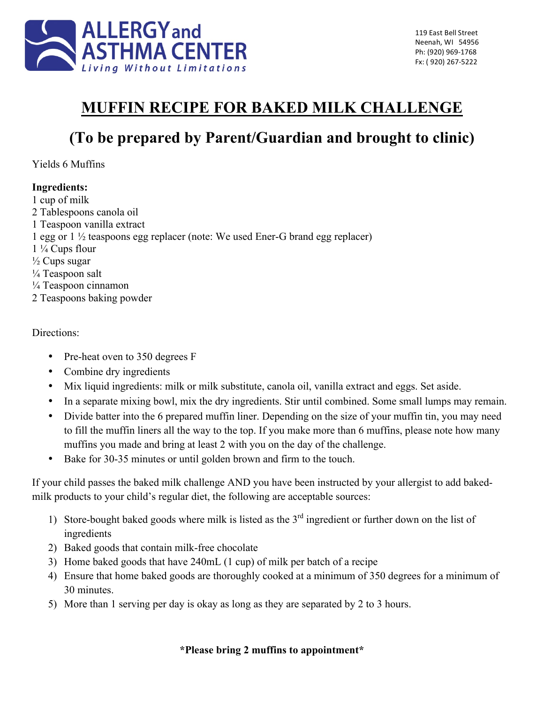

## **MUFFIN RECIPE FOR BAKED MILK CHALLENGE**

# **(To be prepared by Parent/Guardian and brought to clinic)**

Yields 6 Muffins

### **Ingredients:**

1 cup of milk 2 Tablespoons canola oil 1 Teaspoon vanilla extract 1 egg or 1 ½ teaspoons egg replacer (note: We used Ener-G brand egg replacer) 1 ¼ Cups flour  $\frac{1}{2}$  Cups sugar ¼ Teaspoon salt ¼ Teaspoon cinnamon 2 Teaspoons baking powder

#### Directions:

- Pre-heat oven to 350 degrees F
- Combine dry ingredients
- Mix liquid ingredients: milk or milk substitute, canola oil, vanilla extract and eggs. Set aside.
- In a separate mixing bowl, mix the dry ingredients. Stir until combined. Some small lumps may remain.
- Divide batter into the 6 prepared muffin liner. Depending on the size of your muffin tin, you may need to fill the muffin liners all the way to the top. If you make more than 6 muffins, please note how many muffins you made and bring at least 2 with you on the day of the challenge.
- Bake for 30-35 minutes or until golden brown and firm to the touch.

If your child passes the baked milk challenge AND you have been instructed by your allergist to add bakedmilk products to your child's regular diet, the following are acceptable sources:

- 1) Store-bought baked goods where milk is listed as the 3<sup>rd</sup> ingredient or further down on the list of ingredients
- 2) Baked goods that contain milk-free chocolate
- 3) Home baked goods that have 240mL (1 cup) of milk per batch of a recipe
- 4) Ensure that home baked goods are thoroughly cooked at a minimum of 350 degrees for a minimum of 30 minutes.
- 5) More than 1 serving per day is okay as long as they are separated by 2 to 3 hours.

### **\*Please bring 2 muffins to appointment\***